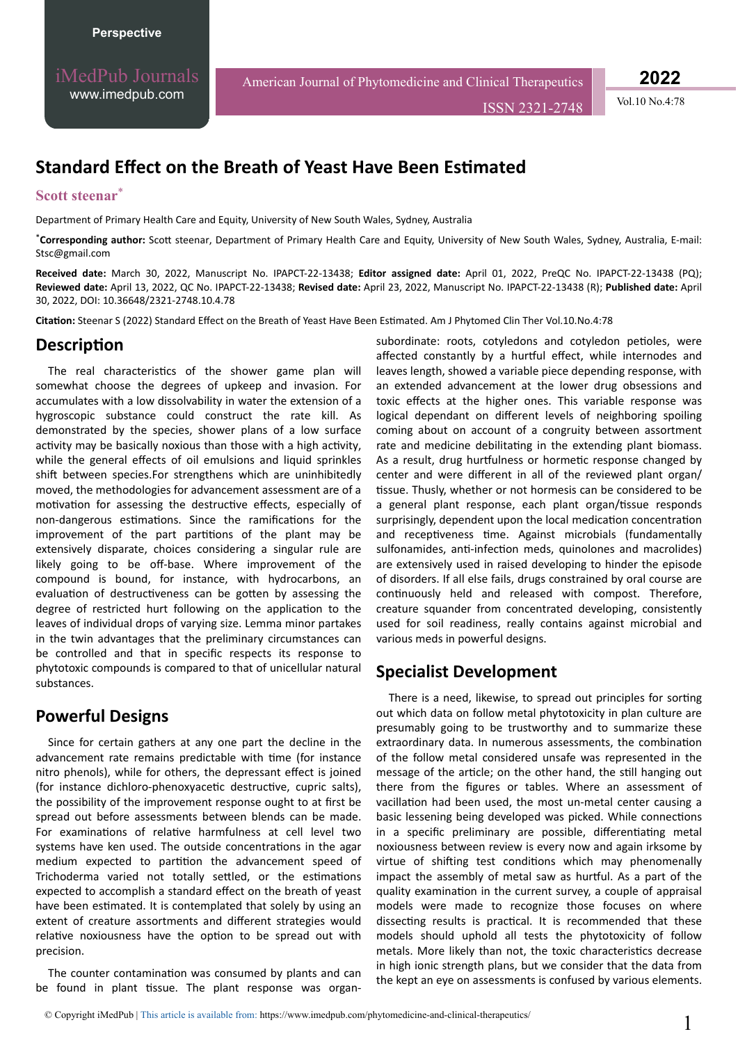iMedPub Journals [www.imedpub.com](http://www.imedpub.com/)

American Journal of Phytomedicine and Clinical Therapeutics

ISSN 2321-2748 Vol.10 No.4:78

**2022**

# **Standard Effect on the Breath of Yeast Have Been Estimated**

### **Scott steenar**\*

Department of Primary Health Care and Equity, University of New South Wales, Sydney, Australia

\*Corresponding author: Scott steenar, Department of Primary Health Care and Equity, University of New South Wales, Sydney, Australia, E-mail: Stsc@gmail.com

**Received date:** March 30, 2022, Manuscript No. IPAPCT-22-13438; **Editor assigned date:** April 01, 2022, PreQC No. IPAPCT-22-13438 (PQ); **Reviewed date:** April 13, 2022, QC No. IPAPCT-22-13438; **Revised date:** April 23, 2022, Manuscript No. IPAPCT-22-13438 (R); **Published date:** April 30, 2022, DOI: 10.36648/2321-2748.10.4.78

**Citation:** Steenar S (2022) Standard Effect on the Breath of Yeast Have Been Estimated. Am J Phytomed Clin Ther Vol.10.No.4:78

#### **Description**

The real characteristics of the shower game plan will somewhat choose the degrees of upkeep and invasion. For accumulates with a low dissolvability in water the extension of a hygroscopic substance could construct the rate kill. As demonstrated by the species, shower plans of a low surface activity may be basically noxious than those with a high activity. while the general effects of oil emulsions and liquid sprinkles shift between species.For strengthens which are uninhibitedly moved, the methodologies for advancement assessment are of a motivation for assessing the destructive effects, especially of non-dangerous estimations. Since the ramifications for the improvement of the part partitions of the plant may be extensively disparate, choices considering a singular rule are likely going to be off-base. Where improvement of the compound is bound, for instance, with hydrocarbons, an evaluation of destructiveness can be gotten by assessing the degree of restricted hurt following on the application to the leaves of individual drops of varying size. Lemma minor partakes in the twin advantages that the preliminary circumstances can be controlled and that in specific respects its response to phytotoxic compounds is compared to that of unicellular natural substances.

## **Powerful Designs**

Since for certain gathers at any one part the decline in the advancement rate remains predictable with time (for instance nitro phenols), while for others, the depressant effect is joined (for instance dichloro-phenoxyacetic destructive, cupric salts), the possibility of the improvement response ought to at first be spread out before assessments between blends can be made. For examinations of relative harmfulness at cell level two systems have ken used. The outside concentrations in the agar medium expected to partition the advancement speed of Trichoderma varied not totally settled, or the estimations expected to accomplish a standard effect on the breath of yeast have been estimated. It is contemplated that solely by using an extent of creature assortments and different strategies would relative noxiousness have the option to be spread out with precision.

The counter contamination was consumed by plants and can be found in plant tissue. The plant response was organ-

subordinate: roots, cotyledons and cotyledon petioles, were affected constantly by a hurtful effect, while internodes and leaves length, showed a variable piece depending response, with an extended advancement at the lower drug obsessions and toxic effects at the higher ones. This variable response was logical dependant on different levels of neighboring spoiling coming about on account of a congruity between assortment rate and medicine debilitating in the extending plant biomass. As a result, drug hurtfulness or hormetic response changed by center and were different in all of the reviewed plant organ/ tissue. Thusly, whether or not hormesis can be considered to be a general plant response, each plant organ/tissue responds surprisingly, dependent upon the local medication concentration and receptiveness time. Against microbials (fundamentally sulfonamides, anti-infection meds, quinolones and macrolides) are extensively used in raised developing to hinder the episode of disorders. If all else fails, drugs constrained by oral course are continuously held and released with compost. Therefore, creature squander from concentrated developing, consistently used for soil readiness, really contains against microbial and various meds in powerful designs.

## **Specialist Development**

There is a need, likewise, to spread out principles for sorting out which data on follow metal phytotoxicity in plan culture are presumably going to be trustworthy and to summarize these extraordinary data. In numerous assessments, the combination of the follow metal considered unsafe was represented in the message of the article; on the other hand, the still hanging out there from the figures or tables. Where an assessment of vacillation had been used, the most un-metal center causing a basic lessening being developed was picked. While connections in a specific preliminary are possible, differentiating metal noxiousness between review is every now and again irksome by virtue of shifting test conditions which may phenomenally impact the assembly of metal saw as hurtful. As a part of the quality examination in the current survey, a couple of appraisal models were made to recognize those focuses on where dissecting results is practical. It is recommended that these models should uphold all tests the phytotoxicity of follow metals. More likely than not, the toxic characteristics decrease in high ionic strength plans, but we consider that the data from the kept an eye on assessments is confused by various elements.